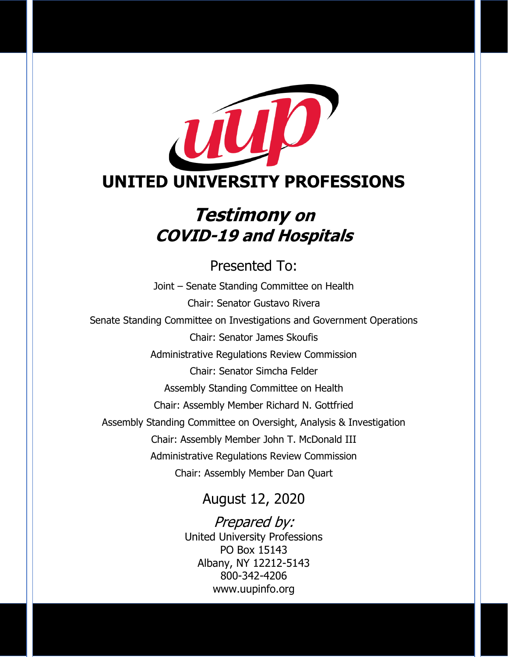

## **Testimony on COVID-19 and Hospitals**

Presented To: Joint – Senate Standing Committee on Health Chair: Senator Gustavo Rivera Senate Standing Committee on Investigations and Government Operations Chair: Senator James Skoufis Administrative Regulations Review Commission Chair: Senator Simcha Felder Assembly Standing Committee on Health Chair: Assembly Member Richard N. Gottfried Assembly Standing Committee on Oversight, Analysis & Investigation Chair: Assembly Member John T. McDonald III Administrative Regulations Review Commission Chair: Assembly Member Dan Quart

### August 12, 2020

Prepared by: United University Professions PO Box 15143 Albany, NY 12212-5143 800-342-4206 www.uupinfo.org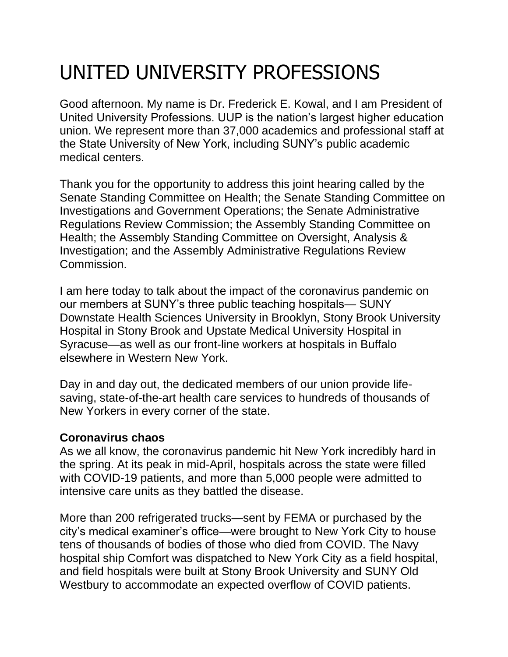# UNITED UNIVERSITY PROFESSIONS

Good afternoon. My name is Dr. Frederick E. Kowal, and I am President of United University Professions. UUP is the nation's largest higher education union. We represent more than 37,000 academics and professional staff at the State University of New York, including SUNY's public academic medical centers.

Thank you for the opportunity to address this joint hearing called by the Senate Standing Committee on Health; the Senate Standing Committee on Investigations and Government Operations; the Senate Administrative Regulations Review Commission; the Assembly Standing Committee on Health; the Assembly Standing Committee on Oversight, Analysis & Investigation; and the Assembly Administrative Regulations Review Commission.

I am here today to talk about the impact of the coronavirus pandemic on our members at SUNY's three public teaching hospitals— SUNY Downstate Health Sciences University in Brooklyn, Stony Brook University Hospital in Stony Brook and Upstate Medical University Hospital in Syracuse—as well as our front-line workers at hospitals in Buffalo elsewhere in Western New York.

Day in and day out, the dedicated members of our union provide lifesaving, state-of-the-art health care services to hundreds of thousands of New Yorkers in every corner of the state.

#### **Coronavirus chaos**

As we all know, the coronavirus pandemic hit New York incredibly hard in the spring. At its peak in mid-April, hospitals across the state were filled with COVID-19 patients, and more than 5,000 people were admitted to intensive care units as they battled the disease.

More than 200 refrigerated trucks—sent by FEMA or purchased by the city's medical examiner's office—were brought to New York City to house tens of thousands of bodies of those who died from COVID. The Navy hospital ship Comfort was dispatched to New York City as a field hospital, and field hospitals were built at Stony Brook University and SUNY Old Westbury to accommodate an expected overflow of COVID patients.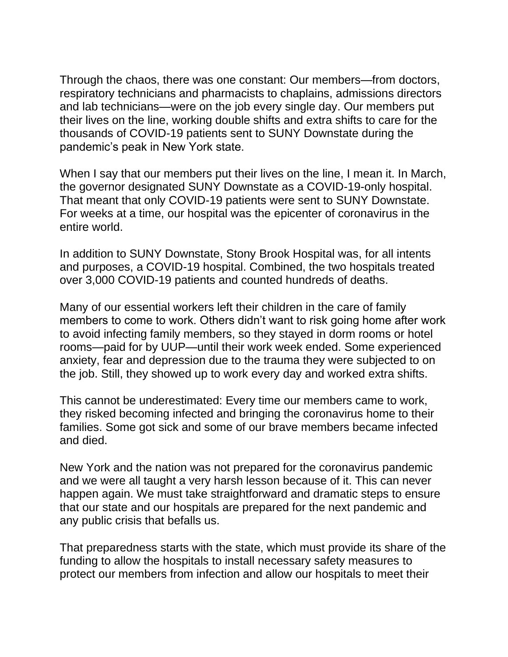Through the chaos, there was one constant: Our members—from doctors, respiratory technicians and pharmacists to chaplains, admissions directors and lab technicians—were on the job every single day. Our members put their lives on the line, working double shifts and extra shifts to care for the thousands of COVID-19 patients sent to SUNY Downstate during the pandemic's peak in New York state.

When I say that our members put their lives on the line, I mean it. In March, the governor designated SUNY Downstate as a COVID-19-only hospital. That meant that only COVID-19 patients were sent to SUNY Downstate. For weeks at a time, our hospital was the epicenter of coronavirus in the entire world.

In addition to SUNY Downstate, Stony Brook Hospital was, for all intents and purposes, a COVID-19 hospital. Combined, the two hospitals treated over 3,000 COVID-19 patients and counted hundreds of deaths.

Many of our essential workers left their children in the care of family members to come to work. Others didn't want to risk going home after work to avoid infecting family members, so they stayed in dorm rooms or hotel rooms—paid for by UUP—until their work week ended. Some experienced anxiety, fear and depression due to the trauma they were subjected to on the job. Still, they showed up to work every day and worked extra shifts.

This cannot be underestimated: Every time our members came to work, they risked becoming infected and bringing the coronavirus home to their families. Some got sick and some of our brave members became infected and died.

New York and the nation was not prepared for the coronavirus pandemic and we were all taught a very harsh lesson because of it. This can never happen again. We must take straightforward and dramatic steps to ensure that our state and our hospitals are prepared for the next pandemic and any public crisis that befalls us.

That preparedness starts with the state, which must provide its share of the funding to allow the hospitals to install necessary safety measures to protect our members from infection and allow our hospitals to meet their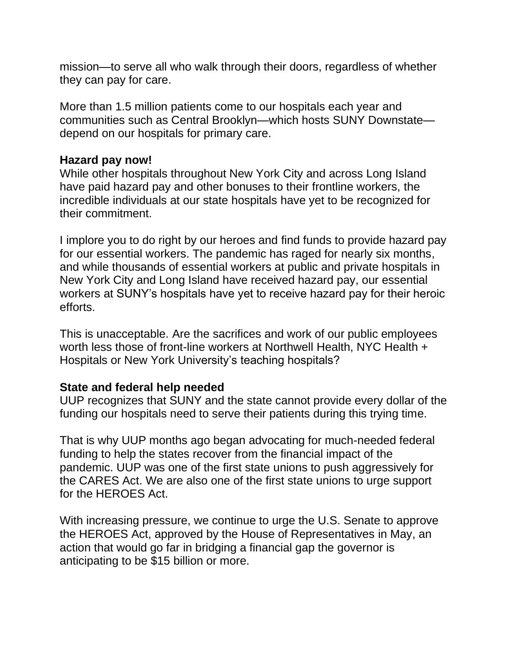mission—to serve all who walk through their doors, regardless of whether they can pay for care.

More than 1.5 million patients come to our hospitals each year and communities such as Central Brooklyn—which hosts SUNY Downstate depend on our hospitals for primary care.

#### **Hazard pay now!**

While other hospitals throughout New York City and across Long Island have paid hazard pay and other bonuses to their frontline workers, the incredible individuals at our state hospitals have yet to be recognized for their commitment.

I implore you to do right by our heroes and find funds to provide hazard pay for our essential workers. The pandemic has raged for nearly six months, and while thousands of essential workers at public and private hospitals in New York City and Long Island have received hazard pay, our essential workers at SUNY's hospitals have yet to receive hazard pay for their heroic efforts.

This is unacceptable. Are the sacrifices and work of our public employees worth less those of front-line workers at Northwell Health, NYC Health + Hospitals or New York University's teaching hospitals?

#### **State and federal help needed**

UUP recognizes that SUNY and the state cannot provide every dollar of the funding our hospitals need to serve their patients during this trying time.

That is why UUP months ago began advocating for much-needed federal funding to help the states recover from the financial impact of the pandemic. UUP was one of the first state unions to push aggressively for the CARES Act. We are also one of the first state unions to urge support for the HEROES Act.

With increasing pressure, we continue to urge the U.S. Senate to approve the HEROES Act, approved by the House of Representatives in May, an action that would go far in bridging a financial gap the governor is anticipating to be \$15 billion or more.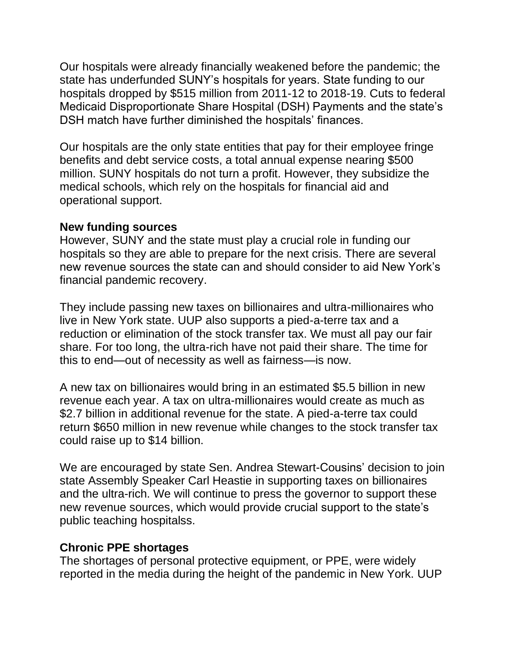Our hospitals were already financially weakened before the pandemic; the state has underfunded SUNY's hospitals for years. State funding to our hospitals dropped by \$515 million from 2011-12 to 2018-19. Cuts to federal Medicaid Disproportionate Share Hospital (DSH) Payments and the state's DSH match have further diminished the hospitals' finances.

Our hospitals are the only state entities that pay for their employee fringe benefits and debt service costs, a total annual expense nearing \$500 million. SUNY hospitals do not turn a profit. However, they subsidize the medical schools, which rely on the hospitals for financial aid and operational support.

#### **New funding sources**

However, SUNY and the state must play a crucial role in funding our hospitals so they are able to prepare for the next crisis. There are several new revenue sources the state can and should consider to aid New York's financial pandemic recovery.

They include passing new taxes on billionaires and ultra-millionaires who live in New York state. UUP also supports a pied-a-terre tax and a reduction or elimination of the stock transfer tax. We must all pay our fair share. For too long, the ultra-rich have not paid their share. The time for this to end—out of necessity as well as fairness—is now.

A new tax on billionaires would bring in an estimated \$5.5 billion in new revenue each year. A tax on ultra-millionaires would create as much as \$2.7 billion in additional revenue for the state. A pied-a-terre tax could return \$650 million in new revenue while changes to the stock transfer tax could raise up to \$14 billion.

We are encouraged by state Sen. Andrea Stewart-Cousins' decision to join state Assembly Speaker Carl Heastie in supporting taxes on billionaires and the ultra-rich. We will continue to press the governor to support these new revenue sources, which would provide crucial support to the state's public teaching hospitalss.

#### **Chronic PPE shortages**

The shortages of personal protective equipment, or PPE, were widely reported in the media during the height of the pandemic in New York. UUP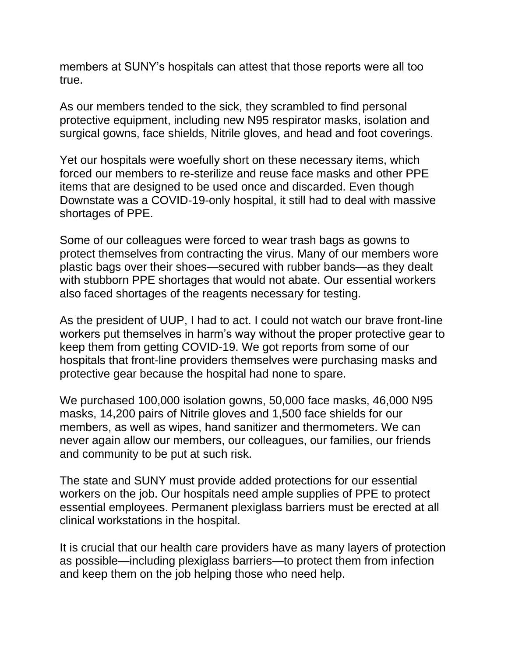members at SUNY's hospitals can attest that those reports were all too true.

As our members tended to the sick, they scrambled to find personal protective equipment, including new N95 respirator masks, isolation and surgical gowns, face shields, Nitrile gloves, and head and foot coverings.

Yet our hospitals were woefully short on these necessary items, which forced our members to re-sterilize and reuse face masks and other PPE items that are designed to be used once and discarded. Even though Downstate was a COVID-19-only hospital, it still had to deal with massive shortages of PPE.

Some of our colleagues were forced to wear trash bags as gowns to protect themselves from contracting the virus. Many of our members wore plastic bags over their shoes—secured with rubber bands—as they dealt with stubborn PPE shortages that would not abate. Our essential workers also faced shortages of the reagents necessary for testing.

As the president of UUP, I had to act. I could not watch our brave front-line workers put themselves in harm's way without the proper protective gear to keep them from getting COVID-19. We got reports from some of our hospitals that front-line providers themselves were purchasing masks and protective gear because the hospital had none to spare.

We purchased 100,000 isolation gowns, 50,000 face masks, 46,000 N95 masks, 14,200 pairs of Nitrile gloves and 1,500 face shields for our members, as well as wipes, hand sanitizer and thermometers. We can never again allow our members, our colleagues, our families, our friends and community to be put at such risk.

The state and SUNY must provide added protections for our essential workers on the job. Our hospitals need ample supplies of PPE to protect essential employees. Permanent plexiglass barriers must be erected at all clinical workstations in the hospital.

It is crucial that our health care providers have as many layers of protection as possible—including plexiglass barriers—to protect them from infection and keep them on the job helping those who need help.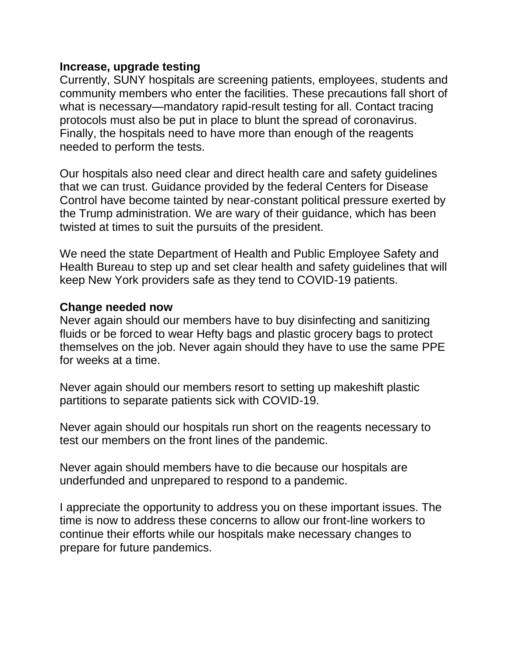#### **Increase, upgrade testing**

Currently, SUNY hospitals are screening patients, employees, students and community members who enter the facilities. These precautions fall short of what is necessary—mandatory rapid-result testing for all. Contact tracing protocols must also be put in place to blunt the spread of coronavirus. Finally, the hospitals need to have more than enough of the reagents needed to perform the tests.

Our hospitals also need clear and direct health care and safety guidelines that we can trust. Guidance provided by the federal Centers for Disease Control have become tainted by near-constant political pressure exerted by the Trump administration. We are wary of their guidance, which has been twisted at times to suit the pursuits of the president.

We need the state Department of Health and Public Employee Safety and Health Bureau to step up and set clear health and safety guidelines that will keep New York providers safe as they tend to COVID-19 patients.

#### **Change needed now**

Never again should our members have to buy disinfecting and sanitizing fluids or be forced to wear Hefty bags and plastic grocery bags to protect themselves on the job. Never again should they have to use the same PPE for weeks at a time.

Never again should our members resort to setting up makeshift plastic partitions to separate patients sick with COVID-19.

Never again should our hospitals run short on the reagents necessary to test our members on the front lines of the pandemic.

Never again should members have to die because our hospitals are underfunded and unprepared to respond to a pandemic.

I appreciate the opportunity to address you on these important issues. The time is now to address these concerns to allow our front-line workers to continue their efforts while our hospitals make necessary changes to prepare for future pandemics.